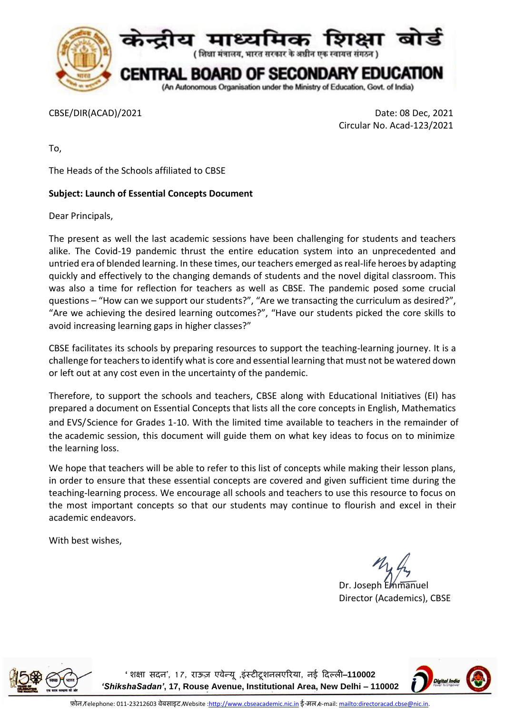

CBSE/DIR(ACAD)/2021 Date: 08 Dec, 2021 Circular No. Acad-123/2021

To,

The Heads of the Schools affiliated to CBSE

## **Subject: Launch of Essential Concepts Document**

Dear Principals,

The present as well the last academic sessions have been challenging for students and teachers alike. The Covid-19 pandemic thrust the entire education system into an unprecedented and untried era of blended learning. In these times, our teachers emerged as real-life heroes by adapting quickly and effectively to the changing demands of students and the novel digital classroom. This was also a time for reflection for teachers as well as CBSE. The pandemic posed some crucial questions – "How can we support our students?", "Are we transacting the curriculum as desired?", "Are we achieving the desired learning outcomes?", "Have our students picked the core skills to avoid increasing learning gaps in higher classes?"

CBSE facilitates its schools by preparing resources to support the teaching-learning journey. It is a challenge for teachers to identify what is core and essential learning that must not be watered down or left out at any cost even in the uncertainty of the pandemic.

Therefore, to support the schools and teachers, CBSE along with Educational Initiatives (EI) has prepared a document on Essential Concepts that lists all the core concepts in English, Mathematics and EVS/Science for Grades 1-10. With the limited time available to teachers in the remainder of the academic session, this document will guide them on what key ideas to focus on to minimize the learning loss.

We hope that teachers will be able to refer to this list of concepts while making their lesson plans, in order to ensure that these essential concepts are covered and given sufficient time during the teaching-learning process. We encourage all schools and teachers to use this resource to focus on the most important concepts so that our students may continue to flourish and excel in their academic endeavors.

With best wishes,

Dr. Joseph Emmanuel Director (Academics), CBSE



**'शिक्षा सदन', 1 7, राऊज़ एवेन्यू ,इंस्टीटूिनलएररया, नई ददल्ली**–**110002**  *'ShikshaSadan'***, 17, Rouse Avenue, Institutional Area, New Delhi – 110002**

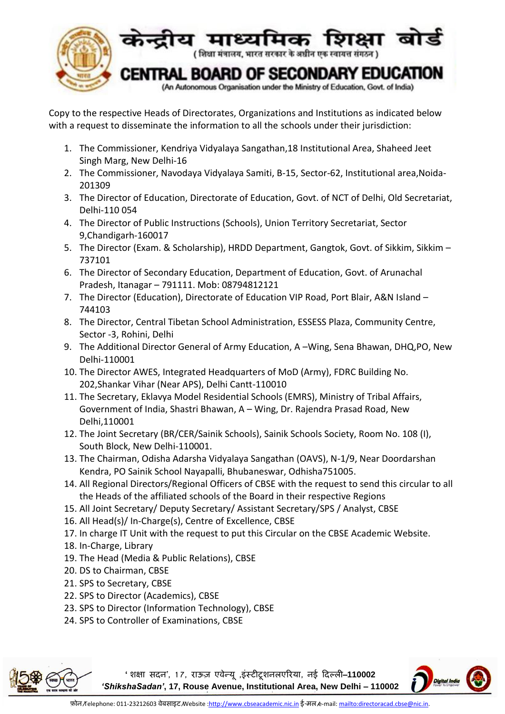

Copy to the respective Heads of Directorates, Organizations and Institutions as indicated below with a request to disseminate the information to all the schools under their jurisdiction:

- 1. The Commissioner, Kendriya Vidyalaya Sangathan,18 Institutional Area, Shaheed Jeet Singh Marg, New Delhi-16
- 2. The Commissioner, Navodaya Vidyalaya Samiti, B-15, Sector-62, Institutional area,Noida-201309
- 3. The Director of Education, Directorate of Education, Govt. of NCT of Delhi, Old Secretariat, Delhi-110 054
- 4. The Director of Public Instructions (Schools), Union Territory Secretariat, Sector 9,Chandigarh-160017
- 5. The Director (Exam. & Scholarship), HRDD Department, Gangtok, Govt. of Sikkim, Sikkim 737101
- 6. The Director of Secondary Education, Department of Education, Govt. of Arunachal Pradesh, Itanagar – 791111. Mob: 08794812121
- 7. The Director (Education), Directorate of Education VIP Road, Port Blair, A&N Island 744103
- 8. The Director, Central Tibetan School Administration, ESSESS Plaza, Community Centre, Sector -3, Rohini, Delhi
- 9. The Additional Director General of Army Education, A –Wing, Sena Bhawan, DHQ,PO, New Delhi-110001
- 10. The Director AWES, Integrated Headquarters of MoD (Army), FDRC Building No. 202,Shankar Vihar (Near APS), Delhi Cantt-110010
- 11. The Secretary, Eklavya Model Residential Schools (EMRS), Ministry of Tribal Affairs, Government of India, Shastri Bhawan, A – Wing, Dr. Rajendra Prasad Road, New Delhi,110001
- 12. The Joint Secretary (BR/CER/Sainik Schools), Sainik Schools Society, Room No. 108 (I), South Block, New Delhi-110001.
- 13. The Chairman, Odisha Adarsha Vidyalaya Sangathan (OAVS), N-1/9, Near Doordarshan Kendra, PO Sainik School Nayapalli, Bhubaneswar, Odhisha751005.
- 14. All Regional Directors/Regional Officers of CBSE with the request to send this circular to all the Heads of the affiliated schools of the Board in their respective Regions
- 15. All Joint Secretary/ Deputy Secretary/ Assistant Secretary/SPS / Analyst, CBSE
- 16. All Head(s)/ In-Charge(s), Centre of Excellence, CBSE
- 17. In charge IT Unit with the request to put this Circular on the CBSE Academic Website.
- 18. In-Charge, Library
- 19. The Head (Media & Public Relations), CBSE
- 20. DS to Chairman, CBSE
- 21. SPS to Secretary, CBSE
- 22. SPS to Director (Academics), CBSE
- 23. SPS to Director (Information Technology), CBSE
- 24. SPS to Controller of Examinations, CBSE



**'शिक्षा सदन', 1 7, राऊज़ एवेन्यू ,इंस्टीटूिनलएररया, नई ददल्ली**–**110002**  *'ShikshaSadan'***, 17, Rouse Avenue, Institutional Area, New Delhi – 110002**